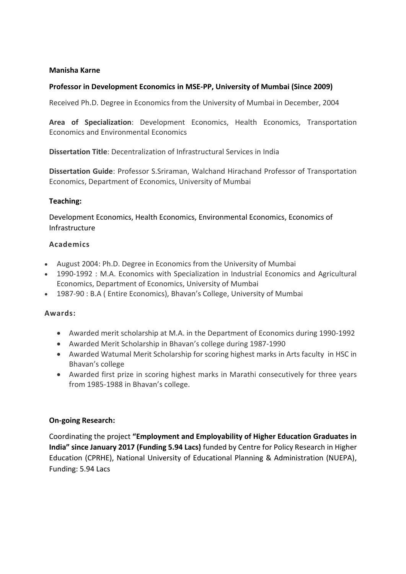## **Manisha Karne**

# **Professor in Development Economics in MSE-PP, University of Mumbai (Since 2009)**

Received Ph.D. Degree in Economics from the University of Mumbai in December, 2004

**Area of Specialization**: Development Economics, Health Economics, Transportation Economics and Environmental Economics

**Dissertation Title**: Decentralization of Infrastructural Services in India

**Dissertation Guide**: Professor S.Sriraman, Walchand Hirachand Professor of Transportation Economics, Department of Economics, University of Mumbai

## **Teaching:**

Development Economics, Health Economics, Environmental Economics, Economics of Infrastructure

# **Academics**

- August 2004: Ph.D. Degree in Economics from the University of Mumbai
- 1990-1992 : M.A. Economics with Specialization in Industrial Economics and Agricultural Economics, Department of Economics, University of Mumbai
- 1987-90 : B.A ( Entire Economics), Bhavan's College, University of Mumbai

## **Awards:**

- Awarded merit scholarship at M.A. in the Department of Economics during 1990-1992
- Awarded Merit Scholarship in Bhavan's college during 1987-1990
- Awarded Watumal Merit Scholarship for scoring highest marks in Arts faculty in HSC in Bhavan's college
- Awarded first prize in scoring highest marks in Marathi consecutively for three years from 1985-1988 in Bhavan's college.

## **On-going Research:**

Coordinating the project **"Employment and Employability of Higher Education Graduates in India" since January 2017 (Funding 5.94 Lacs)** funded by Centre for Policy Research in Higher Education (CPRHE), National University of Educational Planning & Administration (NUEPA), Funding: 5.94 Lacs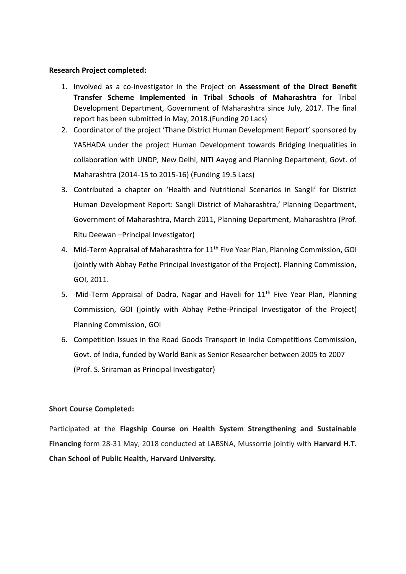## **Research Project completed:**

- 1. Involved as a co-investigator in the Project on **Assessment of the Direct Benefit Transfer Scheme Implemented in Tribal Schools of Maharashtra** for Tribal Development Department, Government of Maharashtra since July, 2017. The final report has been submitted in May, 2018.(Funding 20 Lacs)
- 2. Coordinator of the project 'Thane District Human Development Report' sponsored by YASHADA under the project Human Development towards Bridging Inequalities in collaboration with UNDP, New Delhi, NITI Aayog and Planning Department, Govt. of Maharashtra (2014-15 to 2015-16) (Funding 19.5 Lacs)
- 3. Contributed a chapter on 'Health and Nutritional Scenarios in Sangli' for District Human Development Report: Sangli District of Maharashtra,' Planning Department, Government of Maharashtra, March 2011, Planning Department, Maharashtra (Prof. Ritu Deewan –Principal Investigator)
- 4. Mid-Term Appraisal of Maharashtra for 11<sup>th</sup> Five Year Plan, Planning Commission, GOI (jointly with Abhay Pethe Principal Investigator of the Project). Planning Commission, GOI, 2011.
- 5. Mid-Term Appraisal of Dadra, Nagar and Haveli for 11<sup>th</sup> Five Year Plan, Planning Commission, GOI (jointly with Abhay Pethe-Principal Investigator of the Project) Planning Commission, GOI
- 6. Competition Issues in the Road Goods Transport in India Competitions Commission, Govt. of India, funded by World Bank as Senior Researcher between 2005 to 2007 (Prof. S. Sriraman as Principal Investigator)

## **Short Course Completed:**

Participated at the **Flagship Course on Health System Strengthening and Sustainable Financing** form 28-31 May, 2018 conducted at LABSNA, Mussorrie jointly with **Harvard H.T. Chan School of Public Health, Harvard University.**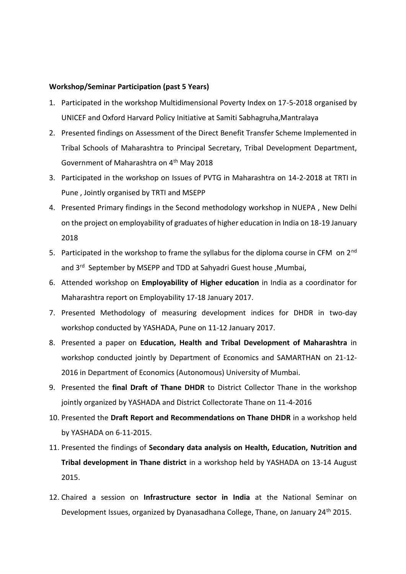#### **Workshop/Seminar Participation (past 5 Years)**

- 1. Participated in the workshop Multidimensional Poverty Index on 17-5-2018 organised by UNICEF and Oxford Harvard Policy Initiative at Samiti Sabhagruha,Mantralaya
- 2. Presented findings on Assessment of the Direct Benefit Transfer Scheme Implemented in Tribal Schools of Maharashtra to Principal Secretary, Tribal Development Department, Government of Maharashtra on 4<sup>th</sup> May 2018
- 3. Participated in the workshop on Issues of PVTG in Maharashtra on 14-2-2018 at TRTI in Pune , Jointly organised by TRTI and MSEPP
- 4. Presented Primary findings in the Second methodology workshop in NUEPA , New Delhi on the project on employability of graduates of higher education in India on 18-19 January 2018
- 5. Participated in the workshop to frame the syllabus for the diploma course in CFM on 2<sup>nd</sup> and 3<sup>rd</sup> September by MSEPP and TDD at Sahyadri Guest house, Mumbai,
- 6. Attended workshop on **Employability of Higher education** in India as a coordinator for Maharashtra report on Employability 17-18 January 2017.
- 7. Presented Methodology of measuring development indices for DHDR in two-day workshop conducted by YASHADA, Pune on 11-12 January 2017.
- 8. Presented a paper on **Education, Health and Tribal Development of Maharashtra** in workshop conducted jointly by Department of Economics and SAMARTHAN on 21-12- 2016 in Department of Economics (Autonomous) University of Mumbai.
- 9. Presented the **final Draft of Thane DHDR** to District Collector Thane in the workshop jointly organized by YASHADA and District Collectorate Thane on 11-4-2016
- 10. Presented the **Draft Report and Recommendations on Thane DHDR** in a workshop held by YASHADA on 6-11-2015.
- 11. Presented the findings of **Secondary data analysis on Health, Education, Nutrition and Tribal development in Thane district** in a workshop held by YASHADA on 13-14 August 2015.
- 12. Chaired a session on **Infrastructure sector in India** at the National Seminar on Development Issues, organized by Dyanasadhana College, Thane, on January 24<sup>th</sup> 2015.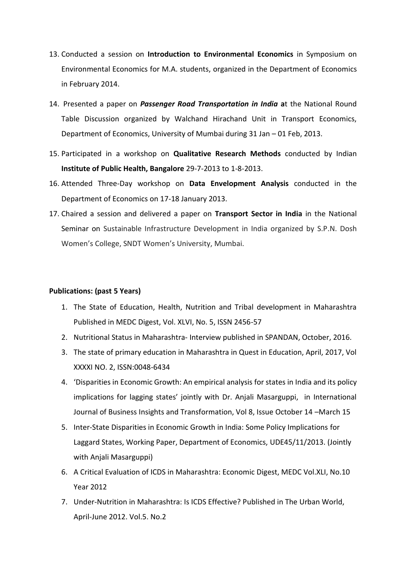- 13. Conducted a session on **Introduction to Environmental Economics** in Symposium on Environmental Economics for M.A. students, organized in the Department of Economics in February 2014.
- 14. Presented a paper on *Passenger Road Transportation in India* **a**t the National Round Table Discussion organized by Walchand Hirachand Unit in Transport Economics, Department of Economics, University of Mumbai during 31 Jan – 01 Feb, 2013.
- 15. Participated in a workshop on **Qualitative Research Methods** conducted by Indian **Institute of Public Health, Bangalore** 29-7-2013 to 1-8-2013.
- 16. Attended Three-Day workshop on **Data Envelopment Analysis** conducted in the Department of Economics on 17-18 January 2013.
- 17. Chaired a session and delivered a paper on **Transport Sector in India** in the National Seminar on Sustainable Infrastructure Development in India organized by S.P.N. Dosh Women's College, SNDT Women's University, Mumbai.

#### **Publications: (past 5 Years)**

- 1. The State of Education, Health, Nutrition and Tribal development in Maharashtra Published in MEDC Digest, Vol. XLVI, No. 5, ISSN 2456-57
- 2. Nutritional Status in Maharashtra- Interview published in SPANDAN, October, 2016.
- 3. The state of primary education in Maharashtra in Quest in Education, April, 2017, Vol XXXXI NO. 2, ISSN:0048-6434
- 4. 'Disparities in Economic Growth: An empirical analysis for states in India and its policy implications for lagging states' jointly with Dr. Anjali Masarguppi, in International Journal of Business Insights and Transformation, Vol 8, Issue October 14 –March 15
- 5. Inter-State Disparities in Economic Growth in India: Some Policy Implications for Laggard States, Working Paper, Department of Economics, UDE45/11/2013. (Jointly with Anjali Masarguppi)
- 6. A Critical Evaluation of ICDS in Maharashtra: Economic Digest, MEDC Vol.XLI, No.10 Year 2012
- 7. Under-Nutrition in Maharashtra: Is ICDS Effective? Published in The Urban World, April-June 2012. Vol.5. No.2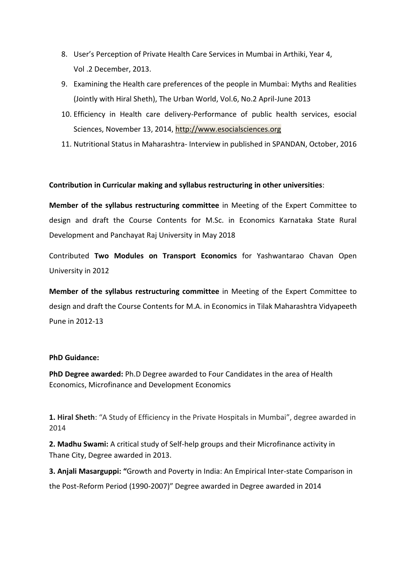- 8. User's Perception of Private Health Care Services in Mumbai in Arthiki, Year 4, Vol .2 December, 2013.
- 9. Examining the Health care preferences of the people in Mumbai: Myths and Realities (Jointly with Hiral Sheth), The Urban World, Vol.6, No.2 April-June 2013
- 10. Efficiency in Health care delivery-Performance of public health services, esocial Sciences, November 13, 2014, [http://www.esocialsciences.org](http://www.esocialsciences.org/)
- 11. Nutritional Status in Maharashtra- Interview in published in SPANDAN, October, 2016

## **Contribution in Curricular making and syllabus restructuring in other universities**:

**Member of the syllabus restructuring committee** in Meeting of the Expert Committee to design and draft the Course Contents for M.Sc. in Economics Karnataka State Rural Development and Panchayat Raj University in May 2018

Contributed **Two Modules on Transport Economics** for Yashwantarao Chavan Open University in 2012

**Member of the syllabus restructuring committee** in Meeting of the Expert Committee to design and draft the Course Contents for M.A. in Economics in Tilak Maharashtra Vidyapeeth Pune in 2012-13

#### **PhD Guidance:**

**PhD Degree awarded:** Ph.D Degree awarded to Four Candidates in the area of Health Economics, Microfinance and Development Economics

**1. Hiral Sheth**: "A Study of Efficiency in the Private Hospitals in Mumbai", degree awarded in 2014

**2. Madhu Swami:** A critical study of Self-help groups and their Microfinance activity in Thane City, Degree awarded in 2013.

**3. Anjali Masarguppi: "**Growth and Poverty in India: An Empirical Inter-state Comparison in the Post-Reform Period (1990-2007)" Degree awarded in Degree awarded in 2014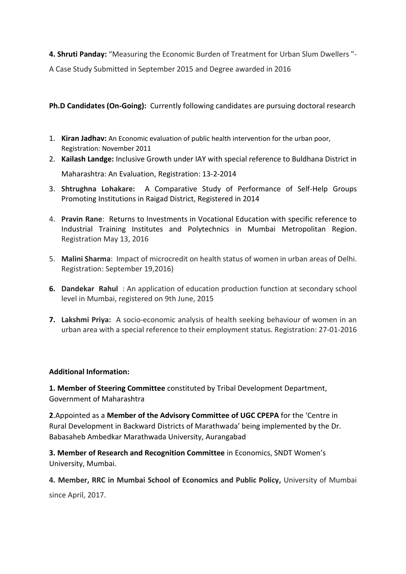**4. Shruti Panday:** "Measuring the Economic Burden of Treatment for Urban Slum Dwellers "- A Case Study Submitted in September 2015 and Degree awarded in 2016

**Ph.D Candidates (On-Going):** Currently following candidates are pursuing doctoral research

- 1. **Kiran Jadhav:** An Economic evaluation of public health intervention for the urban poor, Registration: November 2011
- 2. **Kailash Landge:** Inclusive Growth under IAY with special reference to Buldhana District in Maharashtra: An Evaluation, Registration: 13-2-2014
- 3. **Shtrughna Lohakare:** A Comparative Study of Performance of Self-Help Groups Promoting Institutions in Raigad District, Registered in 2014
- 4. **Pravin Rane**: Returns to Investments in Vocational Education with specific reference to Industrial Training Institutes and Polytechnics in Mumbai Metropolitan Region. Registration May 13, 2016
- 5. **Malini Sharma**: Impact of microcredit on health status of women in urban areas of Delhi. Registration: September 19,2016)
- **6. Dandekar Rahul** : An application of education production function at secondary school level in Mumbai, registered on 9th June, 2015
- **7. Lakshmi Priya:** A socio-economic analysis of health seeking behaviour of women in an urban area with a special reference to their employment status. Registration: 27-01-2016

# **Additional Information:**

**1. Member of Steering Committee** constituted by Tribal Development Department, Government of Maharashtra

**2**.Appointed as a **Member of the Advisory Committee of UGC CPEPA** for the 'Centre in Rural Development in Backward Districts of Marathwada' being implemented by the Dr. Babasaheb Ambedkar Marathwada University, Aurangabad

**3. Member of Research and Recognition Committee** in Economics, SNDT Women's University, Mumbai.

**4. Member, RRC in Mumbai School of Economics and Public Policy,** University of Mumbai since April, 2017.